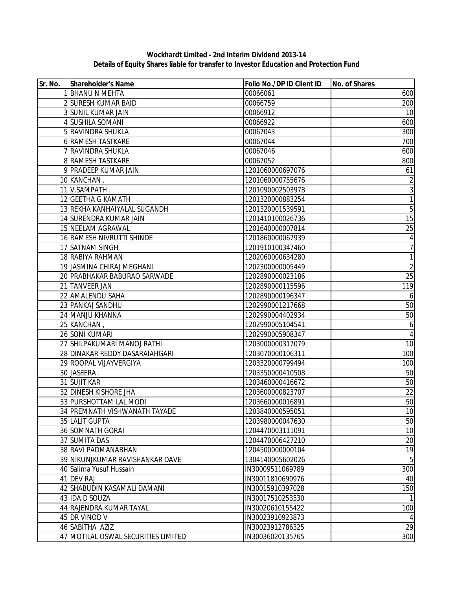## **Wockhardt Limited - 2nd Interim Dividend 2013-14 Details of Equity Shares liable for transfer to Investor Education and Protection Fund**

| 1 BHANU N MEHTA<br>00066061<br>2 SURESH KUMAR BAID<br>00066759<br>200<br>3 SUNIL KUMAR JAIN<br>00066912<br>10<br>4 SUSHILA SOMANI<br>600<br>00066922<br>5 RAVINDRA SHUKLA<br>300<br>00067043<br>6 RAMESH TASTKARE<br>700<br>00067044<br>7 RAVINDRA SHUKLA<br>00067046<br>600<br>8 RAMESH TASTKARE<br>00067052<br>800<br>9 PRADEEP KUMAR JAIN<br>1201060000697076<br>61<br>10 KANCHAN<br>1201060000755676<br>$\sqrt{2}$<br>3<br>11 V.SAMPATH.<br>1201090002503978<br>$\overline{1}$<br>12 GEETHA G KAMATH<br>1201320000883254<br>$\sqrt{5}$<br>13 REKHA KANHAIYALAL SUGANDH<br>1201320001539591<br>14 SURENDRA KUMAR JAIN<br>1201410100026736<br>15<br>15 NEELAM AGRAWAL<br>25<br>1201640000007814<br>16 RAMESH NIVRUTTI SHINDE<br>1201860000067939<br>4<br>7<br>17 SATNAM SINGH<br>1201910100347460<br>1<br>18 RABIYA RAHMAN<br>1202060000634280<br>$\overline{c}$<br>19 JASMINA CHIRAJ MEGHANI<br>1202300000005449<br>25<br>20 PRABHAKAR BABURAO SARWADE<br>1202890000023186<br>21 TANVEER JAN<br>1202890000115596<br>22 AMALENDU SAHA<br>1202890000196347<br>6<br>50<br>23 PANKAJ SANDHU<br>1202990001217668<br>50<br>24 MANJU KHANNA<br>1202990004402934<br>25 KANCHAN,<br>1202990005104541<br>6<br>26 SONI KUMARI<br>$\overline{4}$<br>1202990005908347<br>27 SHILPAKUMARI MANOJ RATHI<br>10<br>1203000000317079<br>28 DINAKAR REDDY DASARAIAHGARI<br>1203070000106311<br>100<br>29 ROOPAL VIJAYVERGIYA<br>100<br>1203320000799494<br>50<br>30 JASEERA.<br>1203350000410508<br>31 SUJIT KAR<br>50<br>1203460000416672<br>22<br>32 DINESH KISHORE JHA<br>1203600000823707<br>33 PURSHOTTAM LAL MODI<br>50<br>1203660000016891<br>34 PREMNATH VISHWANATH TAYADE<br>1203840000595051<br>50<br>35 LALIT GUPTA<br>1203980000047630<br>10<br>36 SOMNATH GORAI<br>1204470003111091<br>$\overline{20}$<br>37 SUMITA DAS<br>1204470006427210<br>19<br>38 RAVI PADMANABHAN<br>1204500000000104<br>$\overline{5}$<br>39 NIKUNJKUMAR RAVISHANKAR DAVE<br>1304140005602026<br>300<br>40 Salima Yusuf Hussain<br>IN30009511069789<br>41 DEV RAJ<br>IN30011810690976<br>40<br>150<br>42 SHABUDIN KASAMALI DAMANI<br>IN30015910397028<br>43 IDA D SOUZA<br>IN30017510253530<br>44 RAJENDRA KUMAR TAYAL<br>100<br>IN30020610155422<br>45 DR VINOD V<br>IN30023910923873<br>4<br>29<br>46 SABITHA AZIZ<br>IN30023912786325 | Sr. No. | Shareholder's Name | Folio No./DP ID Client ID | No. of Shares |
|--------------------------------------------------------------------------------------------------------------------------------------------------------------------------------------------------------------------------------------------------------------------------------------------------------------------------------------------------------------------------------------------------------------------------------------------------------------------------------------------------------------------------------------------------------------------------------------------------------------------------------------------------------------------------------------------------------------------------------------------------------------------------------------------------------------------------------------------------------------------------------------------------------------------------------------------------------------------------------------------------------------------------------------------------------------------------------------------------------------------------------------------------------------------------------------------------------------------------------------------------------------------------------------------------------------------------------------------------------------------------------------------------------------------------------------------------------------------------------------------------------------------------------------------------------------------------------------------------------------------------------------------------------------------------------------------------------------------------------------------------------------------------------------------------------------------------------------------------------------------------------------------------------------------------------------------------------------------------------------------------------------------------------------------------------------------------------------------------------------------------------------------------------------------------------------------------------------------------------------------------------------------------------------------------------------|---------|--------------------|---------------------------|---------------|
| 119                                                                                                                                                                                                                                                                                                                                                                                                                                                                                                                                                                                                                                                                                                                                                                                                                                                                                                                                                                                                                                                                                                                                                                                                                                                                                                                                                                                                                                                                                                                                                                                                                                                                                                                                                                                                                                                                                                                                                                                                                                                                                                                                                                                                                                                                                                          |         |                    |                           | 600           |
|                                                                                                                                                                                                                                                                                                                                                                                                                                                                                                                                                                                                                                                                                                                                                                                                                                                                                                                                                                                                                                                                                                                                                                                                                                                                                                                                                                                                                                                                                                                                                                                                                                                                                                                                                                                                                                                                                                                                                                                                                                                                                                                                                                                                                                                                                                              |         |                    |                           |               |
|                                                                                                                                                                                                                                                                                                                                                                                                                                                                                                                                                                                                                                                                                                                                                                                                                                                                                                                                                                                                                                                                                                                                                                                                                                                                                                                                                                                                                                                                                                                                                                                                                                                                                                                                                                                                                                                                                                                                                                                                                                                                                                                                                                                                                                                                                                              |         |                    |                           |               |
|                                                                                                                                                                                                                                                                                                                                                                                                                                                                                                                                                                                                                                                                                                                                                                                                                                                                                                                                                                                                                                                                                                                                                                                                                                                                                                                                                                                                                                                                                                                                                                                                                                                                                                                                                                                                                                                                                                                                                                                                                                                                                                                                                                                                                                                                                                              |         |                    |                           |               |
|                                                                                                                                                                                                                                                                                                                                                                                                                                                                                                                                                                                                                                                                                                                                                                                                                                                                                                                                                                                                                                                                                                                                                                                                                                                                                                                                                                                                                                                                                                                                                                                                                                                                                                                                                                                                                                                                                                                                                                                                                                                                                                                                                                                                                                                                                                              |         |                    |                           |               |
|                                                                                                                                                                                                                                                                                                                                                                                                                                                                                                                                                                                                                                                                                                                                                                                                                                                                                                                                                                                                                                                                                                                                                                                                                                                                                                                                                                                                                                                                                                                                                                                                                                                                                                                                                                                                                                                                                                                                                                                                                                                                                                                                                                                                                                                                                                              |         |                    |                           |               |
|                                                                                                                                                                                                                                                                                                                                                                                                                                                                                                                                                                                                                                                                                                                                                                                                                                                                                                                                                                                                                                                                                                                                                                                                                                                                                                                                                                                                                                                                                                                                                                                                                                                                                                                                                                                                                                                                                                                                                                                                                                                                                                                                                                                                                                                                                                              |         |                    |                           |               |
|                                                                                                                                                                                                                                                                                                                                                                                                                                                                                                                                                                                                                                                                                                                                                                                                                                                                                                                                                                                                                                                                                                                                                                                                                                                                                                                                                                                                                                                                                                                                                                                                                                                                                                                                                                                                                                                                                                                                                                                                                                                                                                                                                                                                                                                                                                              |         |                    |                           |               |
|                                                                                                                                                                                                                                                                                                                                                                                                                                                                                                                                                                                                                                                                                                                                                                                                                                                                                                                                                                                                                                                                                                                                                                                                                                                                                                                                                                                                                                                                                                                                                                                                                                                                                                                                                                                                                                                                                                                                                                                                                                                                                                                                                                                                                                                                                                              |         |                    |                           |               |
|                                                                                                                                                                                                                                                                                                                                                                                                                                                                                                                                                                                                                                                                                                                                                                                                                                                                                                                                                                                                                                                                                                                                                                                                                                                                                                                                                                                                                                                                                                                                                                                                                                                                                                                                                                                                                                                                                                                                                                                                                                                                                                                                                                                                                                                                                                              |         |                    |                           |               |
|                                                                                                                                                                                                                                                                                                                                                                                                                                                                                                                                                                                                                                                                                                                                                                                                                                                                                                                                                                                                                                                                                                                                                                                                                                                                                                                                                                                                                                                                                                                                                                                                                                                                                                                                                                                                                                                                                                                                                                                                                                                                                                                                                                                                                                                                                                              |         |                    |                           |               |
|                                                                                                                                                                                                                                                                                                                                                                                                                                                                                                                                                                                                                                                                                                                                                                                                                                                                                                                                                                                                                                                                                                                                                                                                                                                                                                                                                                                                                                                                                                                                                                                                                                                                                                                                                                                                                                                                                                                                                                                                                                                                                                                                                                                                                                                                                                              |         |                    |                           |               |
|                                                                                                                                                                                                                                                                                                                                                                                                                                                                                                                                                                                                                                                                                                                                                                                                                                                                                                                                                                                                                                                                                                                                                                                                                                                                                                                                                                                                                                                                                                                                                                                                                                                                                                                                                                                                                                                                                                                                                                                                                                                                                                                                                                                                                                                                                                              |         |                    |                           |               |
|                                                                                                                                                                                                                                                                                                                                                                                                                                                                                                                                                                                                                                                                                                                                                                                                                                                                                                                                                                                                                                                                                                                                                                                                                                                                                                                                                                                                                                                                                                                                                                                                                                                                                                                                                                                                                                                                                                                                                                                                                                                                                                                                                                                                                                                                                                              |         |                    |                           |               |
|                                                                                                                                                                                                                                                                                                                                                                                                                                                                                                                                                                                                                                                                                                                                                                                                                                                                                                                                                                                                                                                                                                                                                                                                                                                                                                                                                                                                                                                                                                                                                                                                                                                                                                                                                                                                                                                                                                                                                                                                                                                                                                                                                                                                                                                                                                              |         |                    |                           |               |
|                                                                                                                                                                                                                                                                                                                                                                                                                                                                                                                                                                                                                                                                                                                                                                                                                                                                                                                                                                                                                                                                                                                                                                                                                                                                                                                                                                                                                                                                                                                                                                                                                                                                                                                                                                                                                                                                                                                                                                                                                                                                                                                                                                                                                                                                                                              |         |                    |                           |               |
|                                                                                                                                                                                                                                                                                                                                                                                                                                                                                                                                                                                                                                                                                                                                                                                                                                                                                                                                                                                                                                                                                                                                                                                                                                                                                                                                                                                                                                                                                                                                                                                                                                                                                                                                                                                                                                                                                                                                                                                                                                                                                                                                                                                                                                                                                                              |         |                    |                           |               |
|                                                                                                                                                                                                                                                                                                                                                                                                                                                                                                                                                                                                                                                                                                                                                                                                                                                                                                                                                                                                                                                                                                                                                                                                                                                                                                                                                                                                                                                                                                                                                                                                                                                                                                                                                                                                                                                                                                                                                                                                                                                                                                                                                                                                                                                                                                              |         |                    |                           |               |
|                                                                                                                                                                                                                                                                                                                                                                                                                                                                                                                                                                                                                                                                                                                                                                                                                                                                                                                                                                                                                                                                                                                                                                                                                                                                                                                                                                                                                                                                                                                                                                                                                                                                                                                                                                                                                                                                                                                                                                                                                                                                                                                                                                                                                                                                                                              |         |                    |                           |               |
|                                                                                                                                                                                                                                                                                                                                                                                                                                                                                                                                                                                                                                                                                                                                                                                                                                                                                                                                                                                                                                                                                                                                                                                                                                                                                                                                                                                                                                                                                                                                                                                                                                                                                                                                                                                                                                                                                                                                                                                                                                                                                                                                                                                                                                                                                                              |         |                    |                           |               |
|                                                                                                                                                                                                                                                                                                                                                                                                                                                                                                                                                                                                                                                                                                                                                                                                                                                                                                                                                                                                                                                                                                                                                                                                                                                                                                                                                                                                                                                                                                                                                                                                                                                                                                                                                                                                                                                                                                                                                                                                                                                                                                                                                                                                                                                                                                              |         |                    |                           |               |
|                                                                                                                                                                                                                                                                                                                                                                                                                                                                                                                                                                                                                                                                                                                                                                                                                                                                                                                                                                                                                                                                                                                                                                                                                                                                                                                                                                                                                                                                                                                                                                                                                                                                                                                                                                                                                                                                                                                                                                                                                                                                                                                                                                                                                                                                                                              |         |                    |                           |               |
| $10\,$                                                                                                                                                                                                                                                                                                                                                                                                                                                                                                                                                                                                                                                                                                                                                                                                                                                                                                                                                                                                                                                                                                                                                                                                                                                                                                                                                                                                                                                                                                                                                                                                                                                                                                                                                                                                                                                                                                                                                                                                                                                                                                                                                                                                                                                                                                       |         |                    |                           |               |
|                                                                                                                                                                                                                                                                                                                                                                                                                                                                                                                                                                                                                                                                                                                                                                                                                                                                                                                                                                                                                                                                                                                                                                                                                                                                                                                                                                                                                                                                                                                                                                                                                                                                                                                                                                                                                                                                                                                                                                                                                                                                                                                                                                                                                                                                                                              |         |                    |                           |               |
|                                                                                                                                                                                                                                                                                                                                                                                                                                                                                                                                                                                                                                                                                                                                                                                                                                                                                                                                                                                                                                                                                                                                                                                                                                                                                                                                                                                                                                                                                                                                                                                                                                                                                                                                                                                                                                                                                                                                                                                                                                                                                                                                                                                                                                                                                                              |         |                    |                           |               |
|                                                                                                                                                                                                                                                                                                                                                                                                                                                                                                                                                                                                                                                                                                                                                                                                                                                                                                                                                                                                                                                                                                                                                                                                                                                                                                                                                                                                                                                                                                                                                                                                                                                                                                                                                                                                                                                                                                                                                                                                                                                                                                                                                                                                                                                                                                              |         |                    |                           |               |
|                                                                                                                                                                                                                                                                                                                                                                                                                                                                                                                                                                                                                                                                                                                                                                                                                                                                                                                                                                                                                                                                                                                                                                                                                                                                                                                                                                                                                                                                                                                                                                                                                                                                                                                                                                                                                                                                                                                                                                                                                                                                                                                                                                                                                                                                                                              |         |                    |                           |               |
|                                                                                                                                                                                                                                                                                                                                                                                                                                                                                                                                                                                                                                                                                                                                                                                                                                                                                                                                                                                                                                                                                                                                                                                                                                                                                                                                                                                                                                                                                                                                                                                                                                                                                                                                                                                                                                                                                                                                                                                                                                                                                                                                                                                                                                                                                                              |         |                    |                           |               |
|                                                                                                                                                                                                                                                                                                                                                                                                                                                                                                                                                                                                                                                                                                                                                                                                                                                                                                                                                                                                                                                                                                                                                                                                                                                                                                                                                                                                                                                                                                                                                                                                                                                                                                                                                                                                                                                                                                                                                                                                                                                                                                                                                                                                                                                                                                              |         |                    |                           |               |
|                                                                                                                                                                                                                                                                                                                                                                                                                                                                                                                                                                                                                                                                                                                                                                                                                                                                                                                                                                                                                                                                                                                                                                                                                                                                                                                                                                                                                                                                                                                                                                                                                                                                                                                                                                                                                                                                                                                                                                                                                                                                                                                                                                                                                                                                                                              |         |                    |                           |               |
|                                                                                                                                                                                                                                                                                                                                                                                                                                                                                                                                                                                                                                                                                                                                                                                                                                                                                                                                                                                                                                                                                                                                                                                                                                                                                                                                                                                                                                                                                                                                                                                                                                                                                                                                                                                                                                                                                                                                                                                                                                                                                                                                                                                                                                                                                                              |         |                    |                           |               |
|                                                                                                                                                                                                                                                                                                                                                                                                                                                                                                                                                                                                                                                                                                                                                                                                                                                                                                                                                                                                                                                                                                                                                                                                                                                                                                                                                                                                                                                                                                                                                                                                                                                                                                                                                                                                                                                                                                                                                                                                                                                                                                                                                                                                                                                                                                              |         |                    |                           |               |
|                                                                                                                                                                                                                                                                                                                                                                                                                                                                                                                                                                                                                                                                                                                                                                                                                                                                                                                                                                                                                                                                                                                                                                                                                                                                                                                                                                                                                                                                                                                                                                                                                                                                                                                                                                                                                                                                                                                                                                                                                                                                                                                                                                                                                                                                                                              |         |                    |                           |               |
|                                                                                                                                                                                                                                                                                                                                                                                                                                                                                                                                                                                                                                                                                                                                                                                                                                                                                                                                                                                                                                                                                                                                                                                                                                                                                                                                                                                                                                                                                                                                                                                                                                                                                                                                                                                                                                                                                                                                                                                                                                                                                                                                                                                                                                                                                                              |         |                    |                           |               |
|                                                                                                                                                                                                                                                                                                                                                                                                                                                                                                                                                                                                                                                                                                                                                                                                                                                                                                                                                                                                                                                                                                                                                                                                                                                                                                                                                                                                                                                                                                                                                                                                                                                                                                                                                                                                                                                                                                                                                                                                                                                                                                                                                                                                                                                                                                              |         |                    |                           |               |
|                                                                                                                                                                                                                                                                                                                                                                                                                                                                                                                                                                                                                                                                                                                                                                                                                                                                                                                                                                                                                                                                                                                                                                                                                                                                                                                                                                                                                                                                                                                                                                                                                                                                                                                                                                                                                                                                                                                                                                                                                                                                                                                                                                                                                                                                                                              |         |                    |                           |               |
|                                                                                                                                                                                                                                                                                                                                                                                                                                                                                                                                                                                                                                                                                                                                                                                                                                                                                                                                                                                                                                                                                                                                                                                                                                                                                                                                                                                                                                                                                                                                                                                                                                                                                                                                                                                                                                                                                                                                                                                                                                                                                                                                                                                                                                                                                                              |         |                    |                           |               |
|                                                                                                                                                                                                                                                                                                                                                                                                                                                                                                                                                                                                                                                                                                                                                                                                                                                                                                                                                                                                                                                                                                                                                                                                                                                                                                                                                                                                                                                                                                                                                                                                                                                                                                                                                                                                                                                                                                                                                                                                                                                                                                                                                                                                                                                                                                              |         |                    |                           |               |
|                                                                                                                                                                                                                                                                                                                                                                                                                                                                                                                                                                                                                                                                                                                                                                                                                                                                                                                                                                                                                                                                                                                                                                                                                                                                                                                                                                                                                                                                                                                                                                                                                                                                                                                                                                                                                                                                                                                                                                                                                                                                                                                                                                                                                                                                                                              |         |                    |                           |               |
|                                                                                                                                                                                                                                                                                                                                                                                                                                                                                                                                                                                                                                                                                                                                                                                                                                                                                                                                                                                                                                                                                                                                                                                                                                                                                                                                                                                                                                                                                                                                                                                                                                                                                                                                                                                                                                                                                                                                                                                                                                                                                                                                                                                                                                                                                                              |         |                    |                           |               |
|                                                                                                                                                                                                                                                                                                                                                                                                                                                                                                                                                                                                                                                                                                                                                                                                                                                                                                                                                                                                                                                                                                                                                                                                                                                                                                                                                                                                                                                                                                                                                                                                                                                                                                                                                                                                                                                                                                                                                                                                                                                                                                                                                                                                                                                                                                              |         |                    |                           |               |
|                                                                                                                                                                                                                                                                                                                                                                                                                                                                                                                                                                                                                                                                                                                                                                                                                                                                                                                                                                                                                                                                                                                                                                                                                                                                                                                                                                                                                                                                                                                                                                                                                                                                                                                                                                                                                                                                                                                                                                                                                                                                                                                                                                                                                                                                                                              |         |                    |                           |               |
|                                                                                                                                                                                                                                                                                                                                                                                                                                                                                                                                                                                                                                                                                                                                                                                                                                                                                                                                                                                                                                                                                                                                                                                                                                                                                                                                                                                                                                                                                                                                                                                                                                                                                                                                                                                                                                                                                                                                                                                                                                                                                                                                                                                                                                                                                                              |         |                    |                           |               |
|                                                                                                                                                                                                                                                                                                                                                                                                                                                                                                                                                                                                                                                                                                                                                                                                                                                                                                                                                                                                                                                                                                                                                                                                                                                                                                                                                                                                                                                                                                                                                                                                                                                                                                                                                                                                                                                                                                                                                                                                                                                                                                                                                                                                                                                                                                              |         |                    |                           |               |
|                                                                                                                                                                                                                                                                                                                                                                                                                                                                                                                                                                                                                                                                                                                                                                                                                                                                                                                                                                                                                                                                                                                                                                                                                                                                                                                                                                                                                                                                                                                                                                                                                                                                                                                                                                                                                                                                                                                                                                                                                                                                                                                                                                                                                                                                                                              |         |                    |                           |               |
|                                                                                                                                                                                                                                                                                                                                                                                                                                                                                                                                                                                                                                                                                                                                                                                                                                                                                                                                                                                                                                                                                                                                                                                                                                                                                                                                                                                                                                                                                                                                                                                                                                                                                                                                                                                                                                                                                                                                                                                                                                                                                                                                                                                                                                                                                                              |         |                    |                           |               |
| 300<br>47 MOTILAL OSWAL SECURITIES LIMITED<br>IN30036020135765                                                                                                                                                                                                                                                                                                                                                                                                                                                                                                                                                                                                                                                                                                                                                                                                                                                                                                                                                                                                                                                                                                                                                                                                                                                                                                                                                                                                                                                                                                                                                                                                                                                                                                                                                                                                                                                                                                                                                                                                                                                                                                                                                                                                                                               |         |                    |                           |               |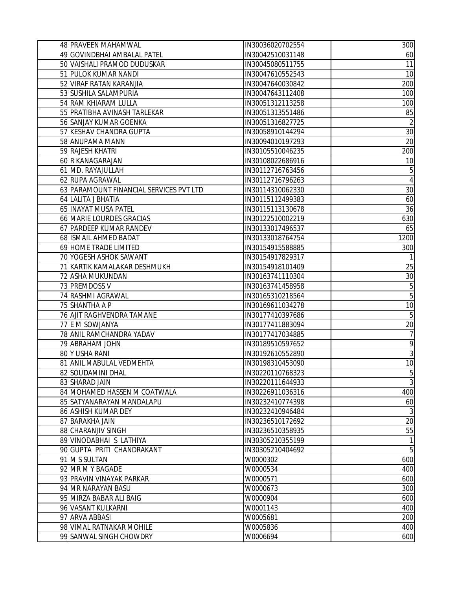| 48 PRAVEEN MAHAMWAL                     | IN30036020702554 | 300            |
|-----------------------------------------|------------------|----------------|
| 49 GOVINDBHAI AMBALAL PATEL             | IN30042510031148 | 60             |
| 50 VAISHALI PRAMOD DUDUSKAR             | IN30045080511755 | 11             |
| 51 PULOK KUMAR NANDI                    | IN30047610552543 | 10             |
| 52 VIRAF RATAN KARANJIA                 | IN30047640030842 | 200            |
| 53 SUSHILA SALAMPURIA                   | IN30047643112408 | 100            |
| 54 RAM KHIARAM LULLA                    | IN30051312113258 | 100            |
| 55 PRATIBHA AVINASH TARLEKAR            | IN30051313551486 | 85             |
| 56 SANJAY KUMAR GOENKA                  | IN30051316827725 | $\overline{2}$ |
| 57 KESHAV CHANDRA GUPTA                 | IN30058910144294 | 30             |
| 58 ANUPAMA MANN                         | IN30094010197293 | 20             |
| 59 RAJESH KHATRI                        | IN30105510046235 | 200            |
| 60 R KANAGARAJAN                        | IN30108022686916 | 10             |
| 61 MD. RAYAJULLAH                       | IN30112716763456 | 5              |
| 62 RUPA AGRAWAL                         | IN30112716796263 | 4              |
| 63 PARAMOUNT FINANCIAL SERVICES PVT LTD | IN30114310062330 | 30             |
| 64 LALITA J BHATIA                      | IN30115112499383 | 60             |
| 65 INAYAT MUSA PATEL                    | IN30115113130678 | 36             |
| 66 MARIE LOURDES GRACIAS                | IN30122510002219 | 630            |
| 67 PARDEEP KUMAR RANDEV                 | IN30133017496537 | 65             |
| 68 ISMAIL AHMED BADAT                   | IN30133018764754 | 1200           |
| 69 HOME TRADE LIMITED                   | IN30154915588885 | 300            |
| 70 YOGESH ASHOK SAWANT                  | IN30154917829317 | 1              |
| 71 KARTIK KAMALAKAR DESHMUKH            | IN30154918101409 | 25             |
| 72 ASHA MUKUNDAN                        | IN30163741110304 | 30             |
| 73 PREMDOSS V                           | IN30163741458958 | 5              |
| 74 RASHMI AGRAWAL                       | IN30165310218564 | $\overline{5}$ |
| 75 SHANTHA A P                          | IN30169611034278 | 10             |
| 76 AJIT RAGHVENDRA TAMANE               | IN30177410397686 | $\sqrt{5}$     |
| 77 E M SOWJANYA                         | IN30177411883094 | 20             |
| 78 ANIL RAMCHANDRA YADAV                | IN30177417034885 | 7              |
| 79 ABRAHAM JOHN                         | IN30189510597652 | 9              |
| 80 Y USHA RANI                          | IN30192610552890 | $\mathfrak{Z}$ |
| 81 ANIL MABULAL VEDMEHTA                | IN30198310453090 | 10             |
| 82 SOUDAMINI DHAL                       | IN30220110768323 | $\sqrt{5}$     |
| 83 SHARAD JAIN                          | IN30220111644933 | $\overline{3}$ |
| 84 MOHAMED HASSEN M COATWALA            | IN30226911036316 | 400            |
| 85 SATYANARAYAN MANDALAPU               | IN30232410774398 | 60             |
| 86 ASHISH KUMAR DEY                     | IN30232410946484 | $\sqrt{3}$     |
| 87 BARAKHA JAIN                         | IN30236510172692 | 20             |
| 88 CHARANJIV SINGH                      | IN30236510358935 | 55             |
| 89 VINODABHAI S LATHIYA                 | IN30305210355199 | 1              |
| 90 GUPTA PRITI CHANDRAKANT              | IN30305210404692 | $\overline{5}$ |
| 91 M S SULTAN                           | W0000302         | 600            |
| 92 MR M Y BAGADE                        | W0000534         | 400            |
| 93 PRAVIN VINAYAK PARKAR                | W0000571         | 600            |
| 94 MR NARAYAN BASU                      | W0000673         | 300            |
| 95 MIRZA BABAR ALI BAIG                 | W0000904         | 600            |
| 96 VASANT KULKARNI                      | W0001143         | 400            |
| 97 ARVA ABBASI                          | W0005681         | 200            |
| 98 VIMAL RATNAKAR MOHILE                | W0005836         | 400            |
| 99 SANWAL SINGH CHOWDRY                 | W0006694         | 600            |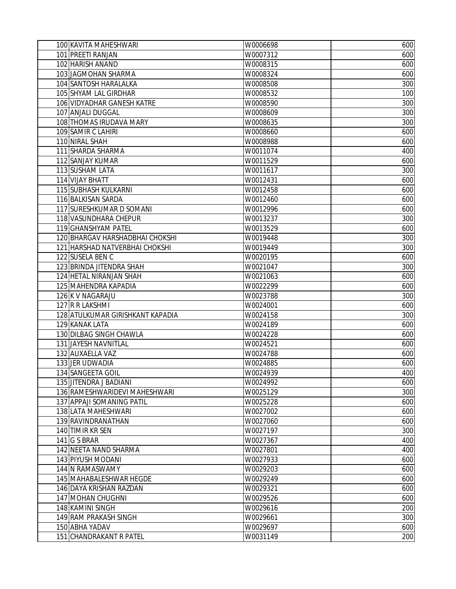| 100 KAVITA MAHESHWARI            | W0006698 | 600 |
|----------------------------------|----------|-----|
| 101 PREETI RANJAN                | W0007312 | 600 |
| 102 HARISH ANAND                 | W0008315 | 600 |
| 103 JAGMOHAN SHARMA              | W0008324 | 600 |
| 104 SANTOSH HARALALKA            | W0008508 | 300 |
| 105 SHYAM LAL GIRDHAR            | W0008532 | 100 |
| 106 VIDYADHAR GANESH KATRE       | W0008590 | 300 |
| 107 ANJALI DUGGAL                | W0008609 | 300 |
| 108 THOMAS IRUDAVA MARY          | W0008635 | 300 |
| 109 SAMIR C LAHIRI               | W0008660 | 600 |
| 110 NIRAL SHAH                   | W0008988 | 600 |
| 111 SHARDA SHARMA                | W0011074 | 400 |
| 112 SANJAY KUMAR                 | W0011529 | 600 |
| 113 SUSHAM LATA                  | W0011617 | 300 |
| 114 VIJAY BHATT                  | W0012431 | 600 |
| 115 SUBHASH KULKARNI             | W0012458 | 600 |
| 116 BALKISAN SARDA               | W0012460 | 600 |
| 117 SURESHKUMAR D SOMANI         | W0012996 | 600 |
| 118 VASUNDHARA CHEPUR            | W0013237 | 300 |
| 119 GHANSHYAM PATEL              | W0013529 | 600 |
| 120 BHARGAV HARSHADBHAI CHOKSHI  | W0019448 | 300 |
| 121 HARSHAD NATVERBHAI CHOKSHI   | W0019449 | 300 |
| 122 SUSELA BEN C                 | W0020195 | 600 |
| 123 BRINDA JITENDRA SHAH         | W0021047 | 300 |
| 124 HETAL NIRANJAN SHAH          | W0021063 | 600 |
| 125 MAHENDRA KAPADIA             | W0022299 | 600 |
| 126 K V NAGARAJU                 | W0023788 | 300 |
| 127 R R LAKSHMI                  | W0024001 | 600 |
| 128 ATULKUMAR GIRISHKANT KAPADIA | W0024158 | 300 |
| 129 KANAK LATA                   | W0024189 | 600 |
| 130 DILBAG SINGH CHAWLA          | W0024228 | 600 |
| 131 JAYESH NAVNITLAL             | W0024521 | 600 |
| 132 AUXAELLA VAZ                 | W0024788 | 600 |
| 133 JER UDWADIA                  | W0024885 | 600 |
| 134 SANGEETA GOIL                | W0024939 | 400 |
| 135 JITENDRA J BADIANI           | W0024992 | 600 |
| 136 RAMESHWARIDEVI MAHESHWARI    | W0025129 | 300 |
| 137 APPAJI SOMANING PATIL        | W0025228 | 600 |
| 138 LATA MAHESHWARI              | W0027002 | 600 |
| 139 RAVINDRANATHAN               | W0027060 | 600 |
| 140 TIMIR KR SEN                 | W0027197 | 300 |
| 141 G S BRAR                     | W0027367 | 400 |
| 142 NEETA NAND SHARMA            | W0027801 | 400 |
| 143 PIYUSH MODANI                | W0027933 | 600 |
| 144 N RAMASWAMY                  | W0029203 | 600 |
| 145 MAHABALESHWAR HEGDE          | W0029249 | 600 |
| 146 DAYA KRISHAN RAZDAN          | W0029321 | 600 |
| 147 MOHAN CHUGHNI                | W0029526 | 600 |
| 148 KAMINI SINGH                 | W0029616 | 200 |
| 149 RAM PRAKASH SINGH            | W0029661 | 300 |
| 150 ABHA YADAV                   | W0029697 | 600 |
| 151 CHANDRAKANT R PATEL          | W0031149 | 200 |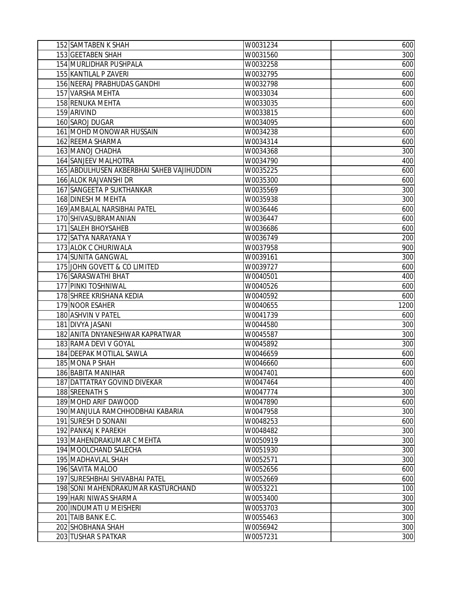| 152 SAMTABEN K SHAH                       | W0031234 | 600  |
|-------------------------------------------|----------|------|
| 153 GEETABEN SHAH                         | W0031560 | 300  |
| 154 MURLIDHAR PUSHPALA                    | W0032258 | 600  |
| 155 KANTILAL P ZAVERI                     | W0032795 | 600  |
| 156 NEERAJ PRABHUDAS GANDHI               | W0032798 | 600  |
| 157 VARSHA MEHTA                          | W0033034 | 600  |
| 158 RENUKA MEHTA                          | W0033035 | 600  |
| 159 ARIVIND                               | W0033815 | 600  |
| 160 SAROJ DUGAR                           | W0034095 | 600  |
| 161 MOHD MONOWAR HUSSAIN                  | W0034238 | 600  |
| 162 REEMA SHARMA                          | W0034314 | 600  |
| 163 MANOJ CHADHA                          | W0034368 | 300  |
| 164 SANJEEV MALHOTRA                      | W0034790 | 400  |
| 165 ABDULHUSEN AKBERBHAI SAHEB VAJIHUDDIN | W0035225 | 600  |
| 166 ALOK RAJVANSHI DR                     | W0035300 | 600  |
| 167 SANGEETA P SUKTHANKAR                 | W0035569 | 300  |
| 168 DINESH M MEHTA                        | W0035938 | 300  |
| 169 AMBALAL NARSIBHAI PATEL               | W0036446 | 600  |
| 170 SHIVASUBRAMANIAN                      | W0036447 | 600  |
| 171 SALEH BHOYSAHEB                       | W0036686 | 600  |
| 172 SATYA NARAYANA Y                      | W0036749 | 200  |
| 173 ALOK C CHURIWALA                      | W0037958 | 900  |
| 174 SUNITA GANGWAL                        | W0039161 | 300  |
| 175 JOHN GOVETT & CO LIMITED              | W0039727 | 600  |
| 176 SARASWATHI BHAT                       | W0040501 | 400  |
| 177 PINKI TOSHNIWAL                       | W0040526 | 600  |
| 178 SHREE KRISHANA KEDIA                  | W0040592 | 600  |
| 179 NOOR ESAHER                           | W0040655 | 1200 |
| 180 ASHVIN V PATEL                        | W0041739 | 600  |
| 181 DIVYA JASANI                          | W0044580 | 300  |
| 182 ANITA DNYANESHWAR KAPRATWAR           | W0045587 | 300  |
| 183 RAMA DEVI V GOYAL                     | W0045892 | 300  |
| 184 DEEPAK MOTILAL SAWLA                  | W0046659 | 600  |
| 185 MONA P SHAH                           | W0046660 | 600  |
| 186 BABITA MANIHAR                        | W0047401 | 600  |
| 187 DATTATRAY GOVIND DIVEKAR              | W0047464 | 400  |
| 188 SREENATH S                            | W0047774 | 300  |
| 189 MOHD ARIF DAWOOD                      | W0047890 | 600  |
| 190 MANJULA RAMCHHODBHAI KABARIA          | W0047958 | 300  |
| 191 SURESH D SONANI                       | W0048253 | 600  |
| 192 PANKAJ K PAREKH                       | W0048482 | 300  |
| 193 MAHENDRAKUMAR C MEHTA                 | W0050919 | 300  |
| 194 MOOLCHAND SALECHA                     | W0051930 | 300  |
| 195 MADHAVLAL SHAH                        | W0052571 | 300  |
| 196 SAVITA MALOO                          | W0052656 | 600  |
| 197 SURESHBHAI SHIVABHAI PATEL            | W0052669 | 600  |
| 198 SONI MAHENDRAKUMAR KASTURCHAND        | W0053221 | 100  |
| 199 HARI NIWAS SHARMA                     | W0053400 | 300  |
| 200 INDUMATI U MEISHERI                   | W0053703 | 300  |
| 201 TAIB BANK E.C.                        | W0055463 | 300  |
| 202 SHOBHANA SHAH                         | W0056942 | 300  |
| 203 TUSHAR S PATKAR                       | W0057231 | 300  |